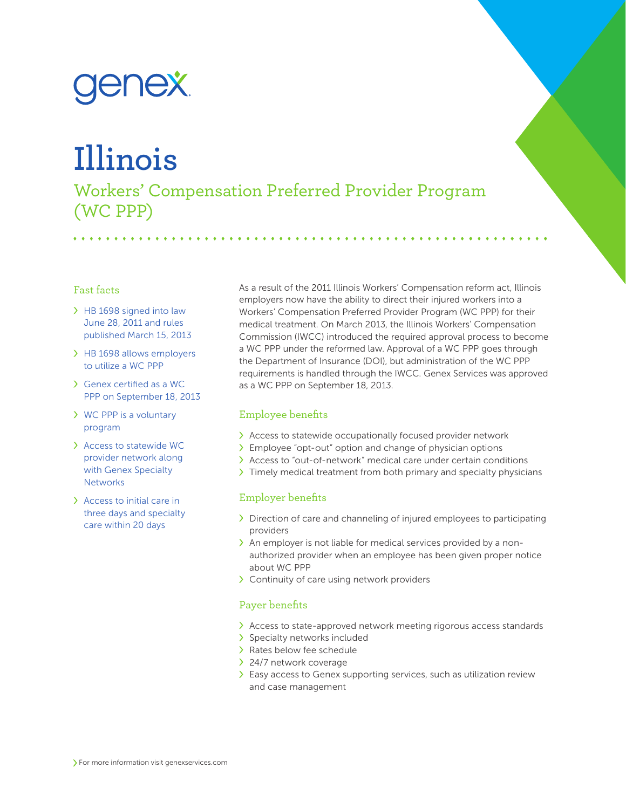# <u>enex</u>

## **Illinois**

Workers' Compensation Preferred Provider Program (WC PPP)

#### Fast facts

- > HB 1698 signed into law June 28, 2011 and rules published March 15, 2013
- > HB 1698 allows employers to utilize a WC PPP
- Genex certified as a WC PPP on September 18, 2013
- WC PPP is a voluntary program
- Access to statewide WC provider network along with Genex Specialty **Networks**
- Access to initial care in three days and specialty care within 20 days

As a result of the 2011 Illinois Workers' Compensation reform act, Illinois employers now have the ability to direct their injured workers into a Workers' Compensation Preferred Provider Program (WC PPP) for their medical treatment. On March 2013, the Illinois Workers' Compensation Commission (IWCC) introduced the required approval process to become a WC PPP under the reformed law. Approval of a WC PPP goes through the Department of Insurance (DOI), but administration of the WC PPP requirements is handled through the IWCC. Genex Services was approved as a WC PPP on September 18, 2013.

## Employee benefits

- Access to statewide occupationally focused provider network
- Employee "opt-out" option and change of physician options
- Access to "out-of-network" medical care under certain conditions
- Timely medical treatment from both primary and specialty physicians

## Employer benefits

- $\sum$  Direction of care and channeling of injured employees to participating providers
- An employer is not liable for medical services provided by a nonauthorized provider when an employee has been given proper notice about WC PPP
- > Continuity of care using network providers

## Payer benefits

- $\lambda$  Access to state-approved network meeting rigorous access standards
- > Specialty networks included
- > Rates below fee schedule
- > 24/7 network coverage
- Easy access to Genex supporting services, such as utilization review and case management